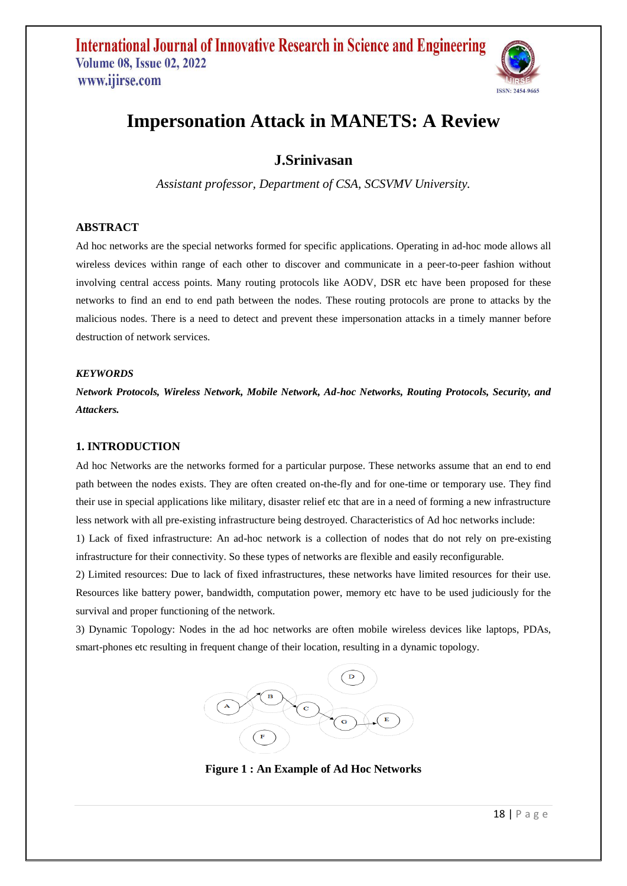

# **Impersonation Attack in MANETS: A Review**

### **J.Srinivasan**

*Assistant professor, Department of CSA, SCSVMV University.*

### **ABSTRACT**

Ad hoc networks are the special networks formed for specific applications. Operating in ad-hoc mode allows all wireless devices within range of each other to discover and communicate in a peer-to-peer fashion without involving central access points. Many routing protocols like AODV, DSR etc have been proposed for these networks to find an end to end path between the nodes. These routing protocols are prone to attacks by the malicious nodes. There is a need to detect and prevent these impersonation attacks in a timely manner before destruction of network services.

### *KEYWORDS*

*Network Protocols, Wireless Network, Mobile Network, Ad-hoc Networks, Routing Protocols, Security, and Attackers.*

### **1. INTRODUCTION**

Ad hoc Networks are the networks formed for a particular purpose. These networks assume that an end to end path between the nodes exists. They are often created on-the-fly and for one-time or temporary use. They find their use in special applications like military, disaster relief etc that are in a need of forming a new infrastructure less network with all pre-existing infrastructure being destroyed. Characteristics of Ad hoc networks include:

1) Lack of fixed infrastructure: An ad-hoc network is a collection of nodes that do not rely on pre-existing infrastructure for their connectivity. So these types of networks are flexible and easily reconfigurable.

2) Limited resources: Due to lack of fixed infrastructures, these networks have limited resources for their use. Resources like battery power, bandwidth, computation power, memory etc have to be used judiciously for the survival and proper functioning of the network.

3) Dynamic Topology: Nodes in the ad hoc networks are often mobile wireless devices like laptops, PDAs, smart-phones etc resulting in frequent change of their location, resulting in a dynamic topology.



**Figure 1 : An Example of Ad Hoc Networks**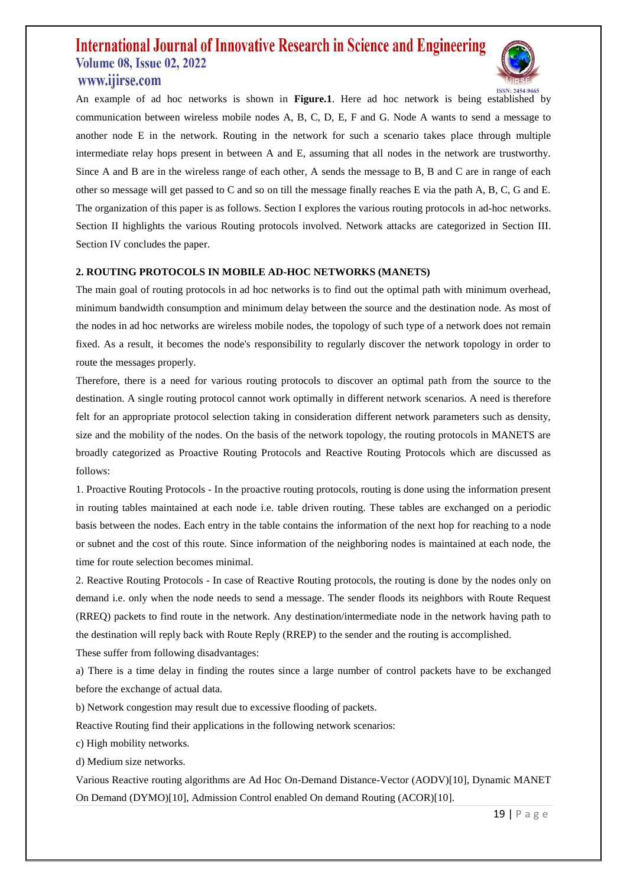### **International Journal of Innovative Research in Science and Engineering Volume 08, Issue 02, 2022** www.ijirse.com



An example of ad hoc networks is shown in **Figure.1**. Here ad hoc network is being established by communication between wireless mobile nodes A, B, C, D, E, F and G. Node A wants to send a message to another node E in the network. Routing in the network for such a scenario takes place through multiple intermediate relay hops present in between A and E, assuming that all nodes in the network are trustworthy. Since A and B are in the wireless range of each other, A sends the message to B, B and C are in range of each other so message will get passed to C and so on till the message finally reaches E via the path A, B, C, G and E. The organization of this paper is as follows. Section I explores the various routing protocols in ad-hoc networks. Section II highlights the various Routing protocols involved. Network attacks are categorized in Section III. Section IV concludes the paper.

### **2. ROUTING PROTOCOLS IN MOBILE AD-HOC NETWORKS (MANETS)**

The main goal of routing protocols in ad hoc networks is to find out the optimal path with minimum overhead, minimum bandwidth consumption and minimum delay between the source and the destination node. As most of the nodes in ad hoc networks are wireless mobile nodes, the topology of such type of a network does not remain fixed. As a result, it becomes the node's responsibility to regularly discover the network topology in order to route the messages properly.

Therefore, there is a need for various routing protocols to discover an optimal path from the source to the destination. A single routing protocol cannot work optimally in different network scenarios. A need is therefore felt for an appropriate protocol selection taking in consideration different network parameters such as density, size and the mobility of the nodes. On the basis of the network topology, the routing protocols in MANETS are broadly categorized as Proactive Routing Protocols and Reactive Routing Protocols which are discussed as follows:

1. Proactive Routing Protocols - In the proactive routing protocols, routing is done using the information present in routing tables maintained at each node i.e. table driven routing. These tables are exchanged on a periodic basis between the nodes. Each entry in the table contains the information of the next hop for reaching to a node or subnet and the cost of this route. Since information of the neighboring nodes is maintained at each node, the time for route selection becomes minimal.

2. Reactive Routing Protocols - In case of Reactive Routing protocols, the routing is done by the nodes only on demand i.e. only when the node needs to send a message. The sender floods its neighbors with Route Request (RREQ) packets to find route in the network. Any destination/intermediate node in the network having path to the destination will reply back with Route Reply (RREP) to the sender and the routing is accomplished.

These suffer from following disadvantages:

a) There is a time delay in finding the routes since a large number of control packets have to be exchanged before the exchange of actual data.

b) Network congestion may result due to excessive flooding of packets.

Reactive Routing find their applications in the following network scenarios:

c) High mobility networks.

d) Medium size networks.

Various Reactive routing algorithms are Ad Hoc On-Demand Distance-Vector (AODV)[10], Dynamic MANET On Demand (DYMO)[10], Admission Control enabled On demand Routing (ACOR)[10].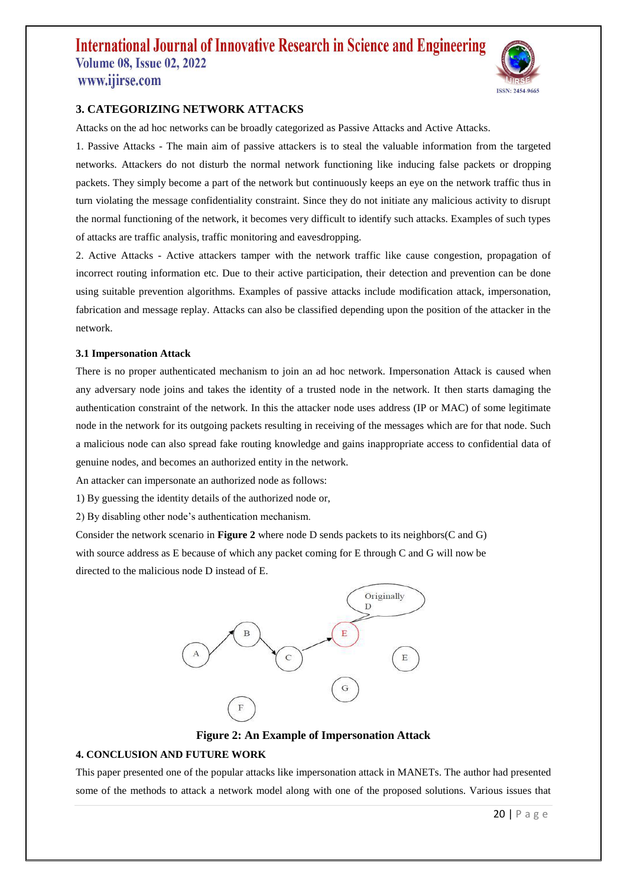## **International Journal of Innovative Research in Science and Engineering Volume 08, Issue 02, 2022** www.ijirse.com



### **3. CATEGORIZING NETWORK ATTACKS**

Attacks on the ad hoc networks can be broadly categorized as Passive Attacks and Active Attacks.

1. Passive Attacks - The main aim of passive attackers is to steal the valuable information from the targeted networks. Attackers do not disturb the normal network functioning like inducing false packets or dropping packets. They simply become a part of the network but continuously keeps an eye on the network traffic thus in turn violating the message confidentiality constraint. Since they do not initiate any malicious activity to disrupt the normal functioning of the network, it becomes very difficult to identify such attacks. Examples of such types of attacks are traffic analysis, traffic monitoring and eavesdropping.

2. Active Attacks - Active attackers tamper with the network traffic like cause congestion, propagation of incorrect routing information etc. Due to their active participation, their detection and prevention can be done using suitable prevention algorithms. Examples of passive attacks include modification attack, impersonation, fabrication and message replay. Attacks can also be classified depending upon the position of the attacker in the network.

#### **3.1 Impersonation Attack**

There is no proper authenticated mechanism to join an ad hoc network. Impersonation Attack is caused when any adversary node joins and takes the identity of a trusted node in the network. It then starts damaging the authentication constraint of the network. In this the attacker node uses address (IP or MAC) of some legitimate node in the network for its outgoing packets resulting in receiving of the messages which are for that node. Such a malicious node can also spread fake routing knowledge and gains inappropriate access to confidential data of genuine nodes, and becomes an authorized entity in the network.

An attacker can impersonate an authorized node as follows:

1) By guessing the identity details of the authorized node or,

2) By disabling other node's authentication mechanism.

Consider the network scenario in **Figure 2** where node D sends packets to its neighbors(C and G) with source address as E because of which any packet coming for E through C and G will now be directed to the malicious node D instead of E.



**Figure 2: An Example of Impersonation Attack**

#### **4. CONCLUSION AND FUTURE WORK**

This paper presented one of the popular attacks like impersonation attack in MANETs. The author had presented some of the methods to attack a network model along with one of the proposed solutions. Various issues that